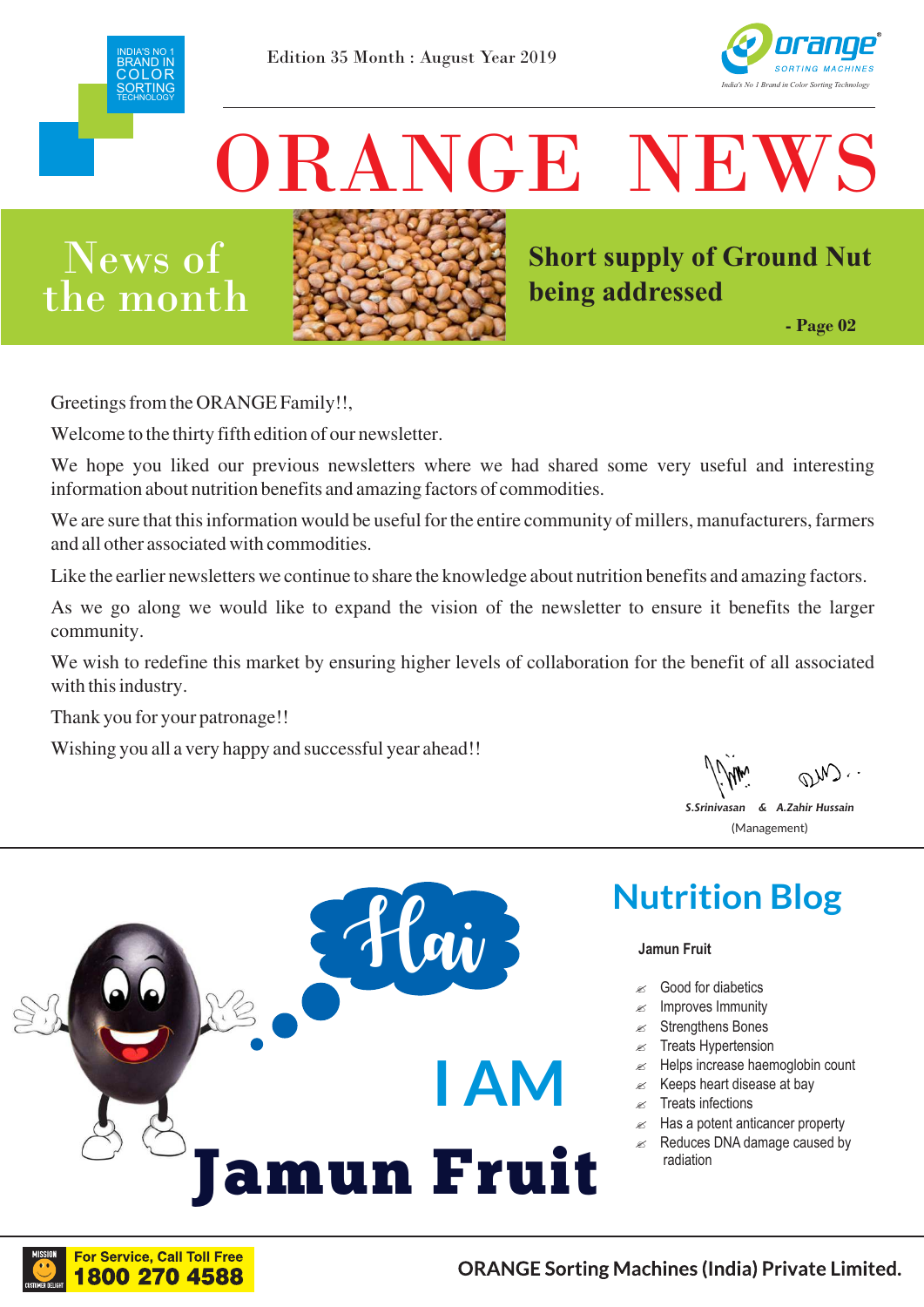



# ORANGE NEW

## News of  $\ln e$  month



**Short supply of Ground Nut being addressed**

**- Page 02**

**Greetings from the ORANGE Family!!,**

**Welcome to the thirty fifth edition of our newsletter.**

**We hope you liked our previous newsletters where we had shared some very useful and interesting information about nutrition benefits and amazing factors of commodities.**

We are sure that this information would be useful for the entire community of millers, manufacturers, farmers **and all other associated with commodities.**

**Like the earlier newsletters we continue to share the knowledge about nutrition benefits and amazing factors.**

**As we go along we would like to expand the vision of the newsletter to ensure it benefits the larger community.**

**We wish to redefine this market by ensuring higher levels of collaboration for the benefit of all associated with this industry.**

Hai

mun Fruit

 $\overline{a}$ 

**I AM** 

**Thank you for your patronage!!**

**Wishing you all a very happy and successful year ahead!!**

*S.Srinivasan & A.Zahir Hussain* (Management)



### **Jamun Fruit**

- Good for diabetics
- Improves Immunity
- Strengthens Bones
- $\approx$  Treats Hypertension
- $\mathscr{\mathscr{A}}$  Helps increase haemoglobin count
- $\&$  Keeps heart disease at bay
- $\mathbb{R}$  Treats infections
- $\mathscr{\mathscr{A}}$  Has a potent anticancer property
- $\approx$  Reduces DNA damage caused by radiation

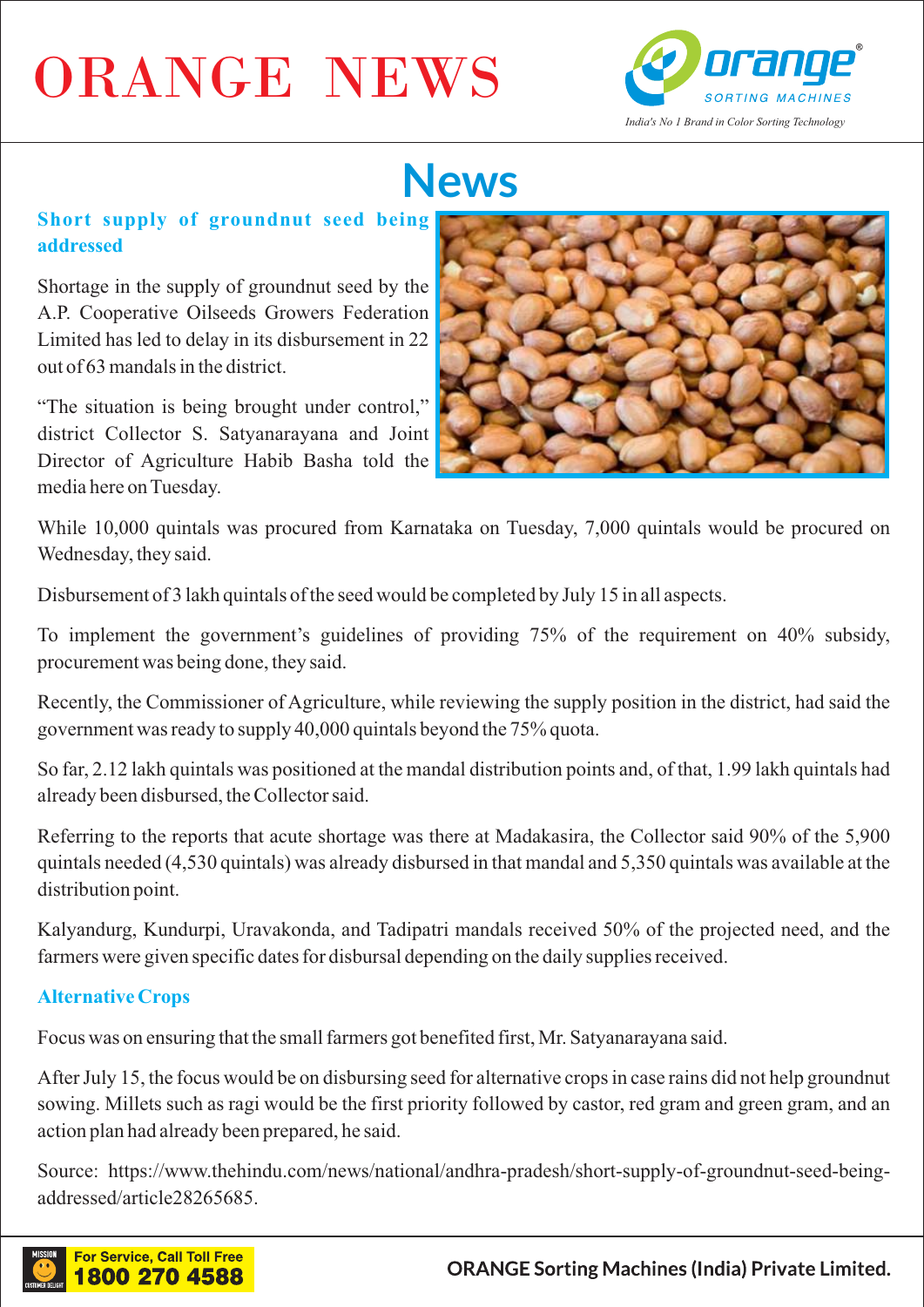# ORANGE NEWS



# **News**

## **Short supply of groundnut seed being addressed**

Shortage in the supply of groundnut seed by the A.P. Cooperative Oilseeds Growers Federation Limited has led to delay in its disbursement in 22 out of 63 mandals in the district.

"The situation is being brought under control," district Collector S. Satyanarayana and Joint Director of Agriculture Habib Basha told the media here on Tuesday.



While 10,000 quintals was procured from Karnataka on Tuesday, 7,000 quintals would be procured on Wednesday, they said.

Disbursement of 3 lakh quintals of the seed would be completed by July 15 in all aspects.

To implement the government's guidelines of providing 75% of the requirement on 40% subsidy, procurement was being done, they said.

Recently, the Commissioner of Agriculture, while reviewing the supply position in the district, had said the government was ready to supply 40,000 quintals beyond the 75% quota.

So far, 2.12 lakh quintals was positioned at the mandal distribution points and, of that, 1.99 lakh quintals had already been disbursed, the Collector said.

Referring to the reports that acute shortage was there at Madakasira, the Collector said 90% of the 5,900 quintals needed (4,530 quintals) was already disbursed in that mandal and 5,350 quintals was available at the distribution point.

Kalyandurg, Kundurpi, Uravakonda, and Tadipatri mandals received 50% of the projected need, and the farmers were given specific dates for disbursal depending on the daily supplies received.

## **Alternative Crops**

Focus was on ensuring that the small farmers got benefited first, Mr. Satyanarayana said.

After July 15, the focus would be on disbursing seed for alternative crops in case rains did not help groundnut sowing. Millets such as ragi would be the first priority followed by castor, red gram and green gram, and an action plan had already been prepared, he said.

Source: https://www.thehindu.com/news/national/andhra-pradesh/short-supply-of-groundnut-seed-beingaddressed/article28265685.

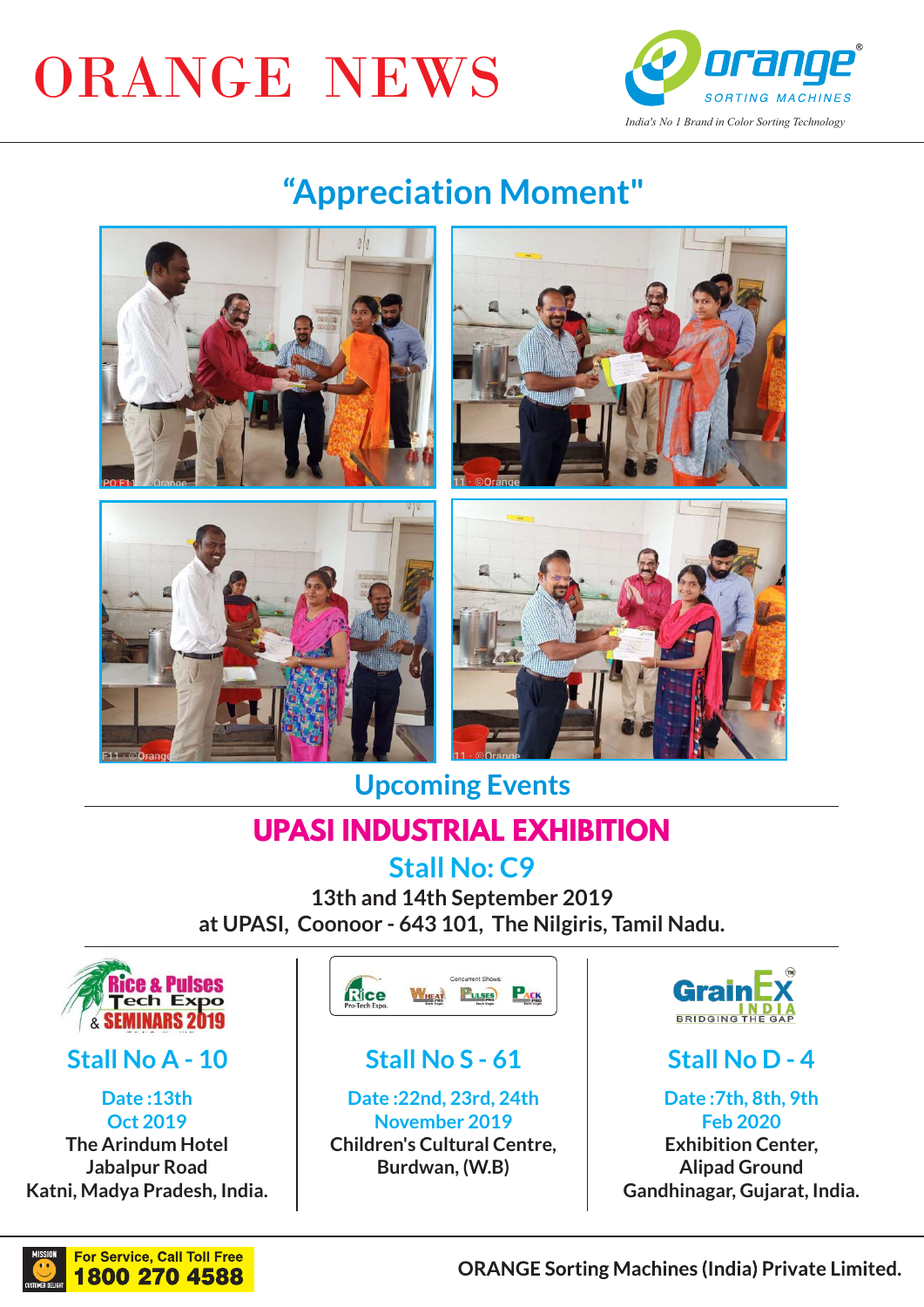# ORANGE NEWS



## **"Appreciation Moment"**









**Upcoming Events** 

## **UPASI INDUSTRIAL EXHIBITION**

**Stall No: C9**

**13th and 14th September 2019 at UPASI, Coonoor - 643 101, The Nilgiris, Tamil Nadu.**



## **Stall No A - 10**

**Date :13th Oct 2019 The Arindum Hotel Jabalpur Road Katni, Madya Pradesh, India.**



## **Stall No S - 61**

**Date :22nd, 23rd, 24th November 2019 Children's Cultural Centre, Burdwan, (W.B)**



## **Stall No D - 4**

**Date :7th, 8th, 9th Feb 2020 Exhibition Center, Alipad Ground Gandhinagar, Gujarat, India.**



**ORANGE Sorting Machines (India) Private Limited.**